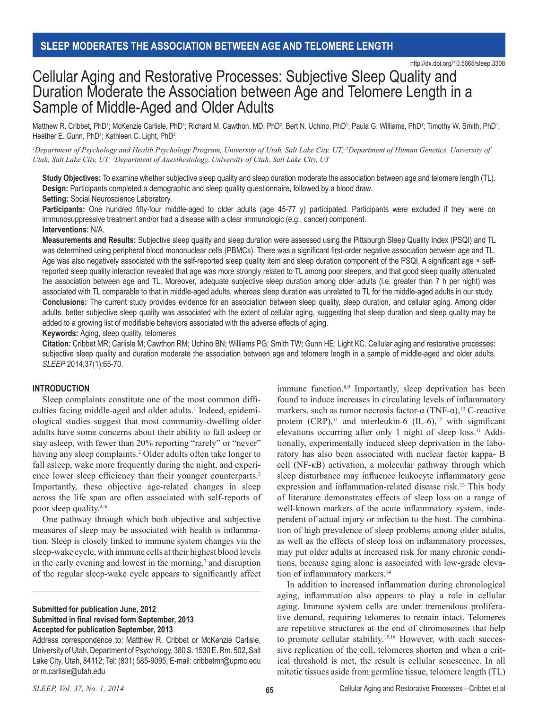http://dx.doi.org/10.5665/sleep.3308

# Cellular Aging and Restorative Processes: Subjective Sleep Quality and Duration Moderate the Association between Age and Telomere Length in a Sample of Middle-Aged and Older Adults

Matthew R. Cribbet, PhD1; McKenzie Carlisle, PhD1; Richard M. Cawthon, MD, PhD2; Bert N. Uchino, PhD1; Paula G. Williams, PhD1; Timothy W. Smith, PhD1; Heather E. Gunn, PhD<sup>1</sup>; Kathleen C. Light, PhD<sup>3</sup>

*1 Department of Psychology and Health Psychology Program, University of Utah, Salt Lake City, UT; 2 Department of Human Genetics, University of Utah, Salt Lake City, UT; 3 Department of Anesthesiology, University of Utah, Salt Lake City, UT*

**Study Objectives:** To examine whether subjective sleep quality and sleep duration moderate the association between age and telomere length (TL). **Design:** Participants completed a demographic and sleep quality questionnaire, followed by a blood draw.

**Setting:** Social Neuroscience Laboratory.

Participants: One hundred fifty-four middle-aged to older adults (age 45-77 y) participated. Participants were excluded if they were on immunosuppressive treatment and/or had a disease with a clear immunologic (e.g., cancer) component. **Interventions:** N/A.

**Measurements and Results:** Subjective sleep quality and sleep duration were assessed using the Pittsburgh Sleep Quality Index (PSQI) and TL was determined using peripheral blood mononuclear cells (PBMCs). There was a significant first-order negative association between age and TL. Age was also negatively associated with the self-reported sleep quality item and sleep duration component of the PSQI. A significant age  $\times$  selfreported sleep quality interaction revealed that age was more strongly related to TL among poor sleepers, and that good sleep quality attenuated the association between age and TL. Moreover, adequate subjective sleep duration among older adults (i.e. greater than 7 h per night) was associated with TL comparable to that in middle-aged adults, whereas sleep duration was unrelated to TL for the middle-aged adults in our study. **Conclusions:** The current study provides evidence for an association between sleep quality, sleep duration, and cellular aging. Among older adults, better subjective sleep quality was associated with the extent of cellular aging, suggesting that sleep duration and sleep quality may be added to a growing list of modifiable behaviors associated with the adverse effects of aging.

**Keywords:** Aging, sleep quality, telomeres

**Citation:** Cribbet MR; Carlisle M; Cawthon RM; Uchino BN; Williams PG; Smith TW; Gunn HE; Light KC. Cellular aging and restorative processes: subjective sleep quality and duration moderate the association between age and telomere length in a sample of middle-aged and older adults. *SLEEP* 2014;37(1):65-70.

# **INTRODUCTION**

Sleep complaints constitute one of the most common difficulties facing middle-aged and older adults.<sup>1</sup> Indeed, epidemiological studies suggest that most community-dwelling older adults have some concerns about their ability to fall asleep or stay asleep, with fewer than 20% reporting "rarely" or "never" having any sleep complaints.<sup>2</sup> Older adults often take longer to fall asleep, wake more frequently during the night, and experience lower sleep efficiency than their younger counterparts.<sup>3</sup> Importantly, these objective age-related changes in sleep across the life span are often associated with self-reports of poor sleep quality.4-6

One pathway through which both objective and subjective measures of sleep may be associated with health is inflammation. Sleep is closely linked to immune system changes via the sleep-wake cycle, with immune cells at their highest blood levels in the early evening and lowest in the morning,<sup>7</sup> and disruption of the regular sleep-wake cycle appears to significantly affect

## **Submitted for publication June, 2012 Submitted in final revised form September, 2013 Accepted for publication September, 2013**

Address correspondence to: Matthew R. Cribbet or McKenzie Carlisle, University of Utah, Department of Psychology, 380 S. 1530 E. Rm. 502, Salt Lake City, Utah, 84112; Tel: (801) 585-9095; E-mail: cribbetmr@upmc.edu or m.carlisle@utah.edu

immune function.<sup>8,9</sup> Importantly, sleep deprivation has been found to induce increases in circulating levels of inflammatory markers, such as tumor necrosis factor-α (TNF-α),<sup>10</sup> C-reactive protein  $(CRP)$ ,<sup>11</sup> and interleukin-6  $(IL-6)$ ,<sup>12</sup> with significant elevations occurring after only 1 night of sleep loss.<sup>11</sup> Additionally, experimentally induced sleep deprivation in the laboratory has also been associated with nuclear factor kappa- B cell (NF-κB) activation, a molecular pathway through which sleep disturbance may influence leukocyte inflammatory gene expression and inflammation-related disease risk.<sup>13</sup> This body of literature demonstrates effects of sleep loss on a range of well-known markers of the acute inflammatory system, independent of actual injury or infection to the host. The combination of high prevalence of sleep problems among older adults, as well as the effects of sleep loss on inflammatory processes, may put older adults at increased risk for many chronic conditions, because aging alone is associated with low-grade elevation of inflammatory markers.<sup>14</sup>

In addition to increased inflammation during chronological aging, inflammation also appears to play a role in cellular aging. Immune system cells are under tremendous proliferative demand, requiring telomeres to remain intact. Telomeres are repetitive structures at the end of chromosomes that help to promote cellular stability.<sup>15,16</sup> However, with each successive replication of the cell, telomeres shorten and when a critical threshold is met, the result is cellular senescence. In all mitotic tissues aside from germline tissue, telomere length (TL)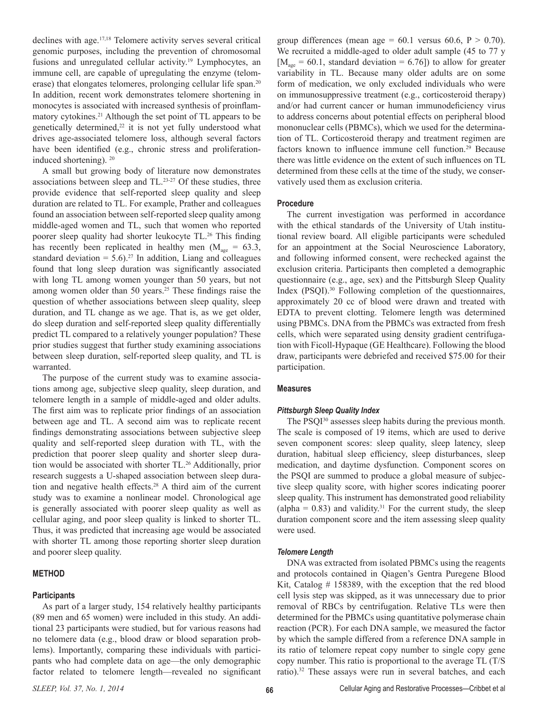declines with age.17,18 Telomere activity serves several critical genomic purposes, including the prevention of chromosomal fusions and unregulated cellular activity.<sup>19</sup> Lymphocytes, an immune cell, are capable of upregulating the enzyme (telomerase) that elongates telomeres, prolonging cellular life span.<sup>20</sup> In addition, recent work demonstrates telomere shortening in monocytes is associated with increased synthesis of proinflammatory cytokines.<sup>21</sup> Although the set point of TL appears to be genetically determined, $22$  it is not yet fully understood what drives age-associated telomere loss, although several factors have been identified (e.g., chronic stress and proliferationinduced shortening). <sup>20</sup>

A small but growing body of literature now demonstrates associations between sleep and TL.23-27 Of these studies, three provide evidence that self-reported sleep quality and sleep duration are related to TL. For example, Prather and colleagues found an association between self-reported sleep quality among middle-aged women and TL, such that women who reported poorer sleep quality had shorter leukocyte TL.<sup>26</sup> This finding has recently been replicated in healthy men ( $M_{\text{age}} = 63.3$ , standard deviation =  $5.6$ ).<sup>27</sup> In addition, Liang and colleagues found that long sleep duration was significantly associated with long TL among women younger than 50 years, but not among women older than 50 years.<sup>25</sup> These findings raise the question of whether associations between sleep quality, sleep duration, and TL change as we age. That is, as we get older, do sleep duration and self-reported sleep quality differentially predict TL compared to a relatively younger population? These prior studies suggest that further study examining associations between sleep duration, self-reported sleep quality, and TL is warranted.

The purpose of the current study was to examine associations among age, subjective sleep quality, sleep duration, and telomere length in a sample of middle-aged and older adults. The first aim was to replicate prior findings of an association between age and TL. A second aim was to replicate recent findings demonstrating associations between subjective sleep quality and self-reported sleep duration with TL, with the prediction that poorer sleep quality and shorter sleep duration would be associated with shorter TL.26 Additionally, prior research suggests a U-shaped association between sleep duration and negative health effects.28 A third aim of the current study was to examine a nonlinear model. Chronological age is generally associated with poorer sleep quality as well as cellular aging, and poor sleep quality is linked to shorter TL. Thus, it was predicted that increasing age would be associated with shorter TL among those reporting shorter sleep duration and poorer sleep quality.

# **METHOD**

#### **Participants**

As part of a larger study, 154 relatively healthy participants (89 men and 65 women) were included in this study. An additional 23 participants were studied, but for various reasons had no telomere data (e.g., blood draw or blood separation problems). Importantly, comparing these individuals with participants who had complete data on age—the only demographic factor related to telomere length—revealed no significant

group differences (mean age =  $60.1$  versus  $60.6$ ,  $P > 0.70$ ). We recruited a middle-aged to older adult sample (45 to 77 y  $[M<sub>age</sub> = 60.1, standard deviation = 6.76]$  to allow for greater variability in TL. Because many older adults are on some form of medication, we only excluded individuals who were on immunosuppressive treatment (e.g., corticosteroid therapy) and/or had current cancer or human immunodeficiency virus to address concerns about potential effects on peripheral blood mononuclear cells (PBMCs), which we used for the determination of TL. Corticosteroid therapy and treatment regimen are factors known to influence immune cell function.<sup>29</sup> Because there was little evidence on the extent of such influences on TL determined from these cells at the time of the study, we conservatively used them as exclusion criteria.

#### **Procedure**

The current investigation was performed in accordance with the ethical standards of the University of Utah institutional review board. All eligible participants were scheduled for an appointment at the Social Neuroscience Laboratory, and following informed consent, were rechecked against the exclusion criteria. Participants then completed a demographic questionnaire (e.g., age, sex) and the Pittsburgh Sleep Quality Index (PSQI).<sup>30</sup> Following completion of the questionnaires, approximately 20 cc of blood were drawn and treated with EDTA to prevent clotting. Telomere length was determined using PBMCs. DNA from the PBMCs was extracted from fresh cells, which were separated using density gradient centrifugation with Ficoll-Hypaque (GE Healthcare). Following the blood draw, participants were debriefed and received \$75.00 for their participation.

#### **Measures**

#### *Pittsburgh Sleep Quality Index*

The PSQI<sup>30</sup> assesses sleep habits during the previous month. The scale is composed of 19 items, which are used to derive seven component scores: sleep quality, sleep latency, sleep duration, habitual sleep efficiency, sleep disturbances, sleep medication, and daytime dysfunction. Component scores on the PSQI are summed to produce a global measure of subjective sleep quality score, with higher scores indicating poorer sleep quality. This instrument has demonstrated good reliability (alpha =  $0.83$ ) and validity.<sup>31</sup> For the current study, the sleep duration component score and the item assessing sleep quality were used.

#### *Telomere Length*

DNA was extracted from isolated PBMCs using the reagents and protocols contained in Qiagen's Gentra Puregene Blood Kit, Catalog # 158389, with the exception that the red blood cell lysis step was skipped, as it was unnecessary due to prior removal of RBCs by centrifugation. Relative TLs were then determined for the PBMCs using quantitative polymerase chain reaction (PCR). For each DNA sample, we measured the factor by which the sample differed from a reference DNA sample in its ratio of telomere repeat copy number to single copy gene copy number. This ratio is proportional to the average TL (T/S ratio).32 These assays were run in several batches, and each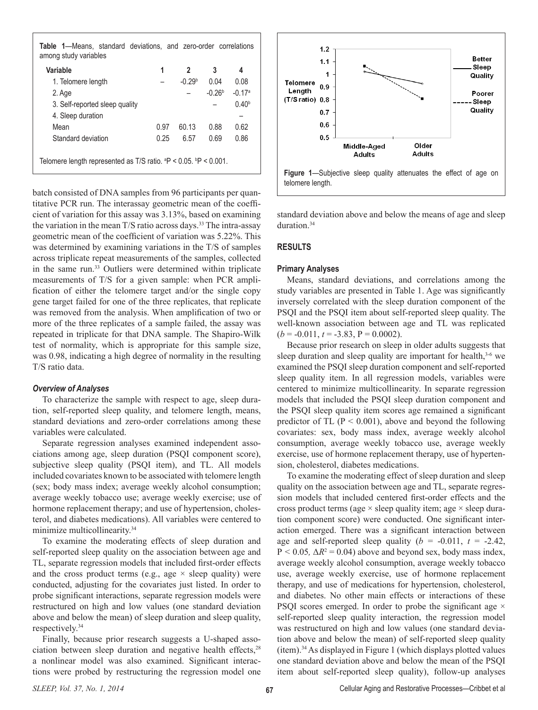**Table 1**—Means, standard deviations, and zero-order correlations among study variables

| Variable                                                             | 1    | 2        | 3        | 4                 |
|----------------------------------------------------------------------|------|----------|----------|-------------------|
| 1. Telomere length                                                   |      | $-0.29b$ | 0.04     | 0.08              |
| 2. Age                                                               |      |          | $-0.26b$ | $-0.17a$          |
| 3. Self-reported sleep quality                                       |      |          |          | 0.40 <sup>b</sup> |
| 4. Sleep duration                                                    |      |          |          |                   |
| Mean                                                                 | 0.97 | 60.13    | 0.88     | 0.62              |
| Standard deviation                                                   | 0.25 | 6.57     | 0.69     | 0.86              |
| Telomere length represented as T/S ratio. $P < 0.05$ . $P < 0.001$ . |      |          |          |                   |

batch consisted of DNA samples from 96 participants per quantitative PCR run. The interassay geometric mean of the coefficient of variation for this assay was 3.13%, based on examining the variation in the mean  $T/S$  ratio across days.<sup>33</sup> The intra-assay geometric mean of the coefficient of variation was 5.22%. This was determined by examining variations in the T/S of samples across triplicate repeat measurements of the samples, collected in the same run.33 Outliers were determined within triplicate measurements of T/S for a given sample: when PCR amplification of either the telomere target and/or the single copy gene target failed for one of the three replicates, that replicate was removed from the analysis. When amplification of two or more of the three replicates of a sample failed, the assay was repeated in triplicate for that DNA sample. The Shapiro-Wilk test of normality, which is appropriate for this sample size, was 0.98, indicating a high degree of normality in the resulting T/S ratio data.

## *Overview of Analyses*

To characterize the sample with respect to age, sleep duration, self-reported sleep quality, and telomere length, means, standard deviations and zero-order correlations among these variables were calculated.

Separate regression analyses examined independent associations among age, sleep duration (PSQI component score), subjective sleep quality (PSQI item), and TL. All models included covariates known to be associated with telomere length (sex; body mass index; average weekly alcohol consumption; average weekly tobacco use; average weekly exercise; use of hormone replacement therapy; and use of hypertension, cholesterol, and diabetes medications). All variables were centered to minimize multicollinearity.<sup>34</sup>

To examine the moderating effects of sleep duration and self-reported sleep quality on the association between age and TL, separate regression models that included first-order effects and the cross product terms (e.g., age  $\times$  sleep quality) were conducted, adjusting for the covariates just listed. In order to probe significant interactions, separate regression models were restructured on high and low values (one standard deviation above and below the mean) of sleep duration and sleep quality, respectively.34

Finally, because prior research suggests a U-shaped association between sleep duration and negative health effects,<sup>28</sup> a nonlinear model was also examined. Significant interactions were probed by restructuring the regression model one



standard deviation above and below the means of age and sleep duration<sup>34</sup>

## **RESULTS**

#### **Primary Analyses**

Means, standard deviations, and correlations among the study variables are presented in Table 1. Age was significantly inversely correlated with the sleep duration component of the PSQI and the PSQI item about self-reported sleep quality. The well-known association between age and TL was replicated  $(b = -0.011, t = -3.83, P = 0.0002)$ .

Because prior research on sleep in older adults suggests that sleep duration and sleep quality are important for health, $3-6$  we examined the PSQI sleep duration component and self-reported sleep quality item. In all regression models, variables were centered to minimize multicollinearity. In separate regression models that included the PSQI sleep duration component and the PSQI sleep quality item scores age remained a significant predictor of TL ( $P < 0.001$ ), above and beyond the following covariates: sex, body mass index, average weekly alcohol consumption, average weekly tobacco use, average weekly exercise, use of hormone replacement therapy, use of hypertension, cholesterol, diabetes medications.

To examine the moderating effect of sleep duration and sleep quality on the association between age and TL, separate regression models that included centered first-order effects and the cross product terms (age  $\times$  sleep quality item; age  $\times$  sleep duration component score) were conducted. One significant interaction emerged. There was a significant interaction between age and self-reported sleep quality  $(b = -0.011, t = -2.42,$  $P < 0.05$ ,  $\Delta R^2 = 0.04$ ) above and beyond sex, body mass index, average weekly alcohol consumption, average weekly tobacco use, average weekly exercise, use of hormone replacement therapy, and use of medications for hypertension, cholesterol, and diabetes. No other main effects or interactions of these PSQI scores emerged. In order to probe the significant age  $\times$ self-reported sleep quality interaction, the regression model was restructured on high and low values (one standard deviation above and below the mean) of self-reported sleep quality (item).<sup>34</sup> As displayed in Figure 1 (which displays plotted values one standard deviation above and below the mean of the PSQI item about self-reported sleep quality), follow-up analyses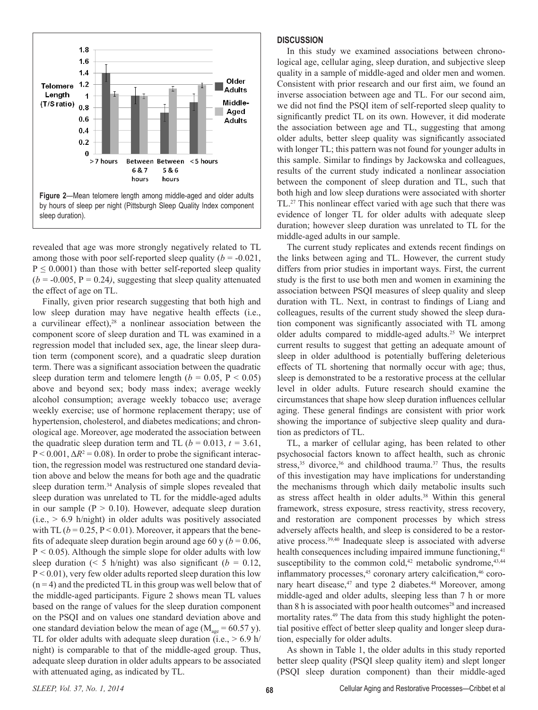

revealed that age was more strongly negatively related to TL among those with poor self-reported sleep quality  $(b = -0.021)$ ,  $P \leq 0.0001$ ) than those with better self-reported sleep quality  $(b = -0.005, P = 0.24)$ , suggesting that sleep quality attenuated the effect of age on TL.

Finally, given prior research suggesting that both high and low sleep duration may have negative health effects (i.e., a curvilinear effect), $28$  a nonlinear association between the component score of sleep duration and TL was examined in a regression model that included sex, age, the linear sleep duration term (component score), and a quadratic sleep duration term. There was a significant association between the quadratic sleep duration term and telomere length ( $b = 0.05$ ,  $P < 0.05$ ) above and beyond sex; body mass index; average weekly alcohol consumption; average weekly tobacco use; average weekly exercise; use of hormone replacement therapy; use of hypertension, cholesterol, and diabetes medications; and chronological age. Moreover, age moderated the association between the quadratic sleep duration term and TL ( $b = 0.013$ ,  $t = 3.61$ ,  $P < 0.001$ ,  $\Delta R^2 = 0.08$ ). In order to probe the significant interaction, the regression model was restructured one standard deviation above and below the means for both age and the quadratic sleep duration term.<sup>34</sup> Analysis of simple slopes revealed that sleep duration was unrelated to TL for the middle-aged adults in our sample ( $P > 0.10$ ). However, adequate sleep duration  $(i.e., > 6.9 h/night)$  in older adults was positively associated with TL  $(b = 0.25, P < 0.01)$ . Moreover, it appears that the benefits of adequate sleep duration begin around age 60 y ( $b = 0.06$ , P *<* 0*.*05). Although the simple slope for older adults with low sleep duration ( $\leq 5$  h/night) was also significant ( $b = 0.12$ ,  $P < 0.01$ ), very few older adults reported sleep duration this low  $(n = 4)$  and the predicted TL in this group was well below that of the middle-aged participants. Figure 2 shows mean TL values based on the range of values for the sleep duration component on the PSQI and on values one standard deviation above and one standard deviation below the mean of age ( $M_{\text{age}} = 60.57$  y). TL for older adults with adequate sleep duration (i.e.,  $> 6.9$  h/ night) is comparable to that of the middle-aged group. Thus, adequate sleep duration in older adults appears to be associated with attenuated aging, as indicated by TL.

## **DISCUSSION**

In this study we examined associations between chronological age, cellular aging, sleep duration, and subjective sleep quality in a sample of middle-aged and older men and women. Consistent with prior research and our first aim, we found an inverse association between age and TL. For our second aim, we did not find the PSQI item of self-reported sleep quality to significantly predict TL on its own. However, it did moderate the association between age and TL, suggesting that among older adults, better sleep quality was significantly associated with longer TL; this pattern was not found for younger adults in this sample. Similar to findings by Jackowska and colleagues, results of the current study indicated a nonlinear association between the component of sleep duration and TL, such that both high and low sleep durations were associated with shorter TL.<sup>27</sup> This nonlinear effect varied with age such that there was evidence of longer TL for older adults with adequate sleep duration; however sleep duration was unrelated to TL for the middle-aged adults in our sample.

The current study replicates and extends recent findings on the links between aging and TL. However, the current study differs from prior studies in important ways. First, the current study is the first to use both men and women in examining the association between PSQI measures of sleep quality and sleep duration with TL. Next, in contrast to findings of Liang and colleagues, results of the current study showed the sleep duration component was significantly associated with TL among older adults compared to middle-aged adults.25 We interpret current results to suggest that getting an adequate amount of sleep in older adulthood is potentially buffering deleterious effects of TL shortening that normally occur with age; thus, sleep is demonstrated to be a restorative process at the cellular level in older adults. Future research should examine the circumstances that shape how sleep duration influences cellular aging. These general findings are consistent with prior work showing the importance of subjective sleep quality and duration as predictors of TL.

TL, a marker of cellular aging, has been related to other psychosocial factors known to affect health, such as chronic stress, $35$  divorce, $36$  and childhood trauma. $37$  Thus, the results of this investigation may have implications for understanding the mechanisms through which daily metabolic insults such as stress affect health in older adults.<sup>38</sup> Within this general framework, stress exposure, stress reactivity, stress recovery, and restoration are component processes by which stress adversely affects health, and sleep is considered to be a restorative process.39,40 Inadequate sleep is associated with adverse health consequences including impaired immune functioning,<sup>41</sup> susceptibility to the common cold, $42$  metabolic syndrome, $43,44$ inflammatory processes,<sup>45</sup> coronary artery calcification,<sup>46</sup> coronary heart disease,<sup>47</sup> and type 2 diabetes.<sup>48</sup> Moreover, among middle-aged and older adults, sleeping less than 7 h or more than 8 h is associated with poor health outcomes<sup>28</sup> and increased mortality rates.<sup>49</sup> The data from this study highlight the potential positive effect of better sleep quality and longer sleep duration, especially for older adults.

As shown in Table 1, the older adults in this study reported better sleep quality (PSQI sleep quality item) and slept longer (PSQI sleep duration component) than their middle-aged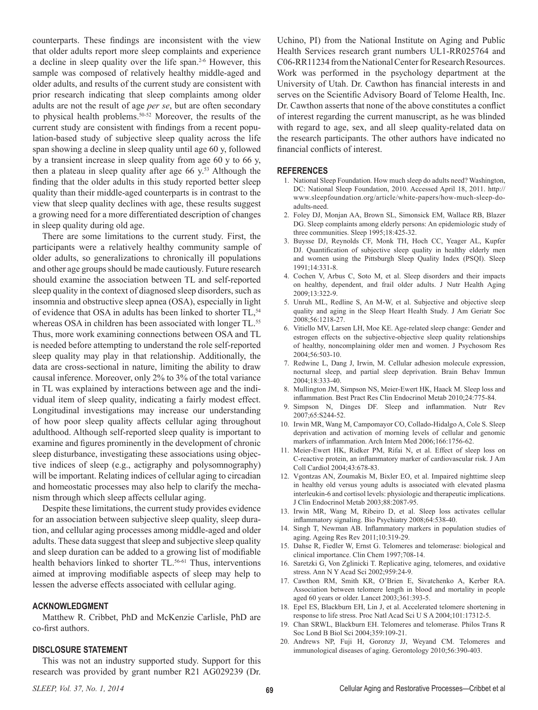counterparts. These findings are inconsistent with the view that older adults report more sleep complaints and experience a decline in sleep quality over the life span.<sup>2-6</sup> However, this sample was composed of relatively healthy middle-aged and older adults, and results of the current study are consistent with prior research indicating that sleep complaints among older adults are not the result of age *per se*, but are often secondary to physical health problems.<sup>50-52</sup> Moreover, the results of the current study are consistent with findings from a recent population-based study of subjective sleep quality across the life span showing a decline in sleep quality until age 60 y, followed by a transient increase in sleep quality from age 60 y to 66 y, then a plateau in sleep quality after age 66  $y$ <sup>53</sup> Although the finding that the older adults in this study reported better sleep quality than their middle-aged counterparts is in contrast to the view that sleep quality declines with age, these results suggest a growing need for a more differentiated description of changes in sleep quality during old age.

There are some limitations to the current study. First, the participants were a relatively healthy community sample of older adults, so generalizations to chronically ill populations and other age groups should be made cautiously. Future research should examine the association between TL and self-reported sleep quality in the context of diagnosed sleep disorders, such as insomnia and obstructive sleep apnea (OSA), especially in light of evidence that OSA in adults has been linked to shorter TL,<sup>54</sup> whereas OSA in children has been associated with longer TL.<sup>55</sup> Thus, more work examining connections between OSA and TL is needed before attempting to understand the role self-reported sleep quality may play in that relationship. Additionally, the data are cross-sectional in nature, limiting the ability to draw causal inference. Moreover, only 2% to 3% of the total variance in TL was explained by interactions between age and the individual item of sleep quality, indicating a fairly modest effect. Longitudinal investigations may increase our understanding of how poor sleep quality affects cellular aging throughout adulthood. Although self-reported sleep quality is important to examine and figures prominently in the development of chronic sleep disturbance, investigating these associations using objective indices of sleep (e.g., actigraphy and polysomnography) will be important. Relating indices of cellular aging to circadian and homeostatic processes may also help to clarify the mechanism through which sleep affects cellular aging.

Despite these limitations, the current study provides evidence for an association between subjective sleep quality, sleep duration, and cellular aging processes among middle-aged and older adults. These data suggest that sleep and subjective sleep quality and sleep duration can be added to a growing list of modifiable health behaviors linked to shorter TL.<sup>56-61</sup> Thus, interventions aimed at improving modifiable aspects of sleep may help to lessen the adverse effects associated with cellular aging.

## **ACKNOWLEDGMENT**

Matthew R. Cribbet, PhD and McKenzie Carlisle, PhD are co-first authors.

# **DISCLOSURE STATEMENT**

This was not an industry supported study. Support for this research was provided by grant number R21 AG029239 (Dr.

Uchino, PI) from the National Institute on Aging and Public Health Services research grant numbers UL1-RR025764 and C06-RR11234 from the National Center for Research Resources. Work was performed in the psychology department at the University of Utah. Dr. Cawthon has financial interests in and serves on the Scientific Advisory Board of Telome Health, Inc. Dr. Cawthon asserts that none of the above constitutes a conflict of interest regarding the current manuscript, as he was blinded with regard to age, sex, and all sleep quality-related data on the research participants. The other authors have indicated no financial conflicts of interest.

#### **REFERENCES**

- 1. National Sleep Foundation. How much sleep do adults need? Washington, DC: National Sleep Foundation, 2010. Accessed April 18, 2011. http:// www.sleepfoundation.org/article/white-papers/how-much-sleep-doadults-need.
- 2. Foley DJ, Monjan AA, Brown SL, Simonsick EM, Wallace RB, Blazer DG. Sleep complaints among elderly persons: An epidemiologic study of three communities. Sleep 1995;18:425-32.
- 3. Buysse DJ, Reynolds CF, Monk TH, Hoch CC, Yeager AL, Kupfer DJ. Quantification of subjective sleep quality in healthy elderly men and women using the Pittsburgh Sleep Quality Index (PSQI). Sleep 1991;14:331-8.
- 4. Cochen V, Arbus C, Soto M, et al. Sleep disorders and their impacts on healthy, dependent, and frail older adults. J Nutr Health Aging 2009;13:322-9.
- 5. Unruh ML, Redline S, An M-W, et al. Subjective and objective sleep quality and aging in the Sleep Heart Health Study. J Am Geriatr Soc 2008;56:1218-27.
- 6. Vitiello MV, Larsen LH, Moe KE. Age-related sleep change: Gender and estrogen effects on the subjective-objective sleep quality relationships of healthy, noncomplaining older men and women. J Psychosom Res 2004;56:503-10.
- 7. Redwine L, Dang J, Irwin, M. Cellular adhesion molecule expression, nocturnal sleep, and partial sleep deprivation. Brain Behav Immun 2004;18:333-40.
- 8. Mullington JM, Simpson NS, Meier-Ewert HK, Haack M. Sleep loss and inflammation. Best Pract Res Clin Endocrinol Metab 2010;24:775-84.
- Simpson N, Dinges DF. Sleep and inflammation. Nutr Rev 2007;65:S244-52.
- 10. Irwin MR, Wang M, Campomayor CO, Collado-Hidalgo A, Cole S. Sleep deprivation and activation of morning levels of cellular and genomic markers of inflammation. Arch Intern Med 2006;166:1756-62.
- 11. Meier-Ewert HK, Ridker PM, Rifai N, et al. Effect of sleep loss on C-reactive protein, an inflammatory marker of cardiovascular risk. J Am Coll Cardiol 2004;43:678-83.
- 12. Vgontzas AN, Zoumakis M, Bixler EO, et al. Impaired nighttime sleep in healthy old versus young adults is associated with elevated plasma interleukin-6 and cortisol levels: physiologic and therapeutic implications. J Clin Endocrinol Metab 2003;88:2087-95.
- 13. Irwin MR, Wang M, Ribeiro D, et al. Sleep loss activates cellular inflammatory signaling. Bio Psychiatry 2008;64:538-40.
- 14. Singh T, Newman AB. Inflammatory markers in population studies of aging. Ageing Res Rev 2011;10:319-29.
- 15. Dahse R, Fiedler W, Ernst G. Telomeres and telomerase: biological and clinical importance. Clin Chem 1997;708-14.
- 16. Saretzki G, Von Zglinicki T. Replicative aging, telomeres, and oxidative stress. Ann N Y Acad Sci 2002;959:24-9.
- 17. Cawthon RM, Smith KR, O'Brien E, Sivatchenko A, Kerber RA. Association between telomere length in blood and mortality in people aged 60 years or older. Lancet 2003;361:393-5.
- 18. Epel ES, Blackburn EH, Lin J, et al. Accelerated telomere shortening in response to life stress. Proc Natl Acad Sci U S A 2004;101:17312-5.
- 19. Chan SRWL, Blackburn EH. Telomeres and telomerase. Philos Trans R Soc Lond B Biol Sci 2004;359:109-21.
- 20. Andrews NP, Fuji H, Goronzy JJ, Weyand CM. Telomeres and immunological diseases of aging. Gerontology 2010;56:390-403.